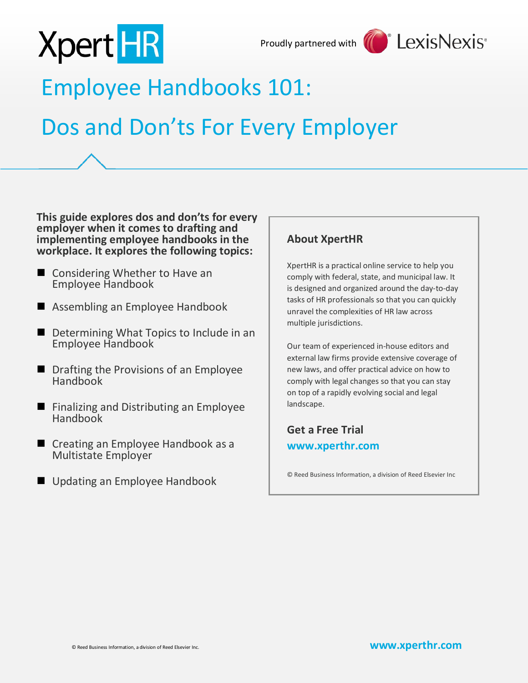

Proudly partnered with



### Employee Handbooks 101:

### Dos and Don'ts For Every Employer

**This guide explores dos and don'ts for every employer when it comes to drafting and implementing employee handbooks in the workplace. It explores the following topics:**

- Considering Whether to Have an Employee Handbook
- Assembling an Employee Handbook
- Determining What Topics to Include in an Employee Handbook
- **Deam** Drafting the Provisions of an Employee Handbook
- **Finalizing and Distributing an Employee** Handbook
- Creating an Employee Handbook as a Multistate Employer
- Updating an Employee Handbook

### **About XpertHR**

XpertHR is a practical online service to help you comply with federal, state, and municipal law. It is designed and organized around the day-to-day tasks of HR professionals so that you can quickly unravel the complexities of HR law across multiple jurisdictions.

Our team of experienced in-house editors and external law firms provide extensive coverage of new laws, and offer practical advice on how to comply with legal changes so that you can stay on top of a rapidly evolving social and legal landscape.

### **Get a Free Trial [www.xperthr.com](http://www.xperthr.com/)**

© Reed Business Information, a division of Reed Elsevier Inc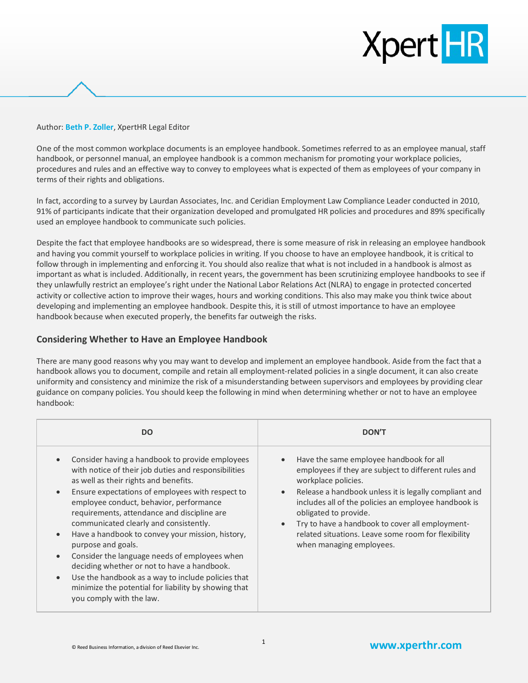#### Author: **Beth P. Zoller**, XpertHR Legal Editor

One of the most common workplace documents is an employee handbook. Sometimes referred to as an employee manual, staff handbook, or personnel manual, an employee handbook is a common mechanism for promoting your workplace policies, procedures and rules and an effective way to convey to employees what is expected of them as employees of your company in terms of their rights and obligations.

In fact, according to a survey by Laurdan Associates, Inc. and Ceridian Employment Law Compliance Leader conducted in 2010, 91% of participants indicate that their organization developed and promulgated HR policies and procedures and 89% specifically used an employee handbook to communicate such policies.

Despite the fact that employee handbooks are so widespread, there is some measure of risk in releasing an employee handbook and having you commit yourself to workplace policies in writing. If you choose to have an employee handbook, it is critical to follow through in implementing and enforcing it. You should also realize that what is not included in a handbook is almost as important as what is included. Additionally, in recent years, the government has been scrutinizing employee handbooks to see if they unlawfully restrict an employee's right under the National Labor Relations Act (NLRA) to engage in protected concerted activity or collective action to improve their wages, hours and working conditions. This also may make you think twice about developing and implementing an employee handbook. Despite this, it is still of utmost importance to have an employee handbook because when executed properly, the benefits far outweigh the risks.

#### **Considering Whether to Have an Employee Handbook**

There are many good reasons why you may want to develop and implement an employee handbook. Aside from the fact that a handbook allows you to document, compile and retain all employment-related policies in a single document, it can also create uniformity and consistency and minimize the risk of a misunderstanding between supervisors and employees by providing clear guidance on company policies. You should keep the following in mind when determining whether or not to have an employee handbook:

| DO.                                                                                                                                                                                                                                                                                                                                                                                                                                                                                                                                                                                                                                                                                                                           | <b>DON'T</b>                                                                                                                                                                                                                                                                                                                                                                                                                                  |
|-------------------------------------------------------------------------------------------------------------------------------------------------------------------------------------------------------------------------------------------------------------------------------------------------------------------------------------------------------------------------------------------------------------------------------------------------------------------------------------------------------------------------------------------------------------------------------------------------------------------------------------------------------------------------------------------------------------------------------|-----------------------------------------------------------------------------------------------------------------------------------------------------------------------------------------------------------------------------------------------------------------------------------------------------------------------------------------------------------------------------------------------------------------------------------------------|
| Consider having a handbook to provide employees<br>$\bullet$<br>with notice of their job duties and responsibilities<br>as well as their rights and benefits.<br>Ensure expectations of employees with respect to<br>$\bullet$<br>employee conduct, behavior, performance<br>requirements, attendance and discipline are<br>communicated clearly and consistently.<br>Have a handbook to convey your mission, history,<br>$\bullet$<br>purpose and goals.<br>Consider the language needs of employees when<br>$\bullet$<br>deciding whether or not to have a handbook.<br>Use the handbook as a way to include policies that<br>$\bullet$<br>minimize the potential for liability by showing that<br>you comply with the law. | Have the same employee handbook for all<br>$\bullet$<br>employees if they are subject to different rules and<br>workplace policies.<br>Release a handbook unless it is legally compliant and<br>$\bullet$<br>includes all of the policies an employee handbook is<br>obligated to provide.<br>Try to have a handbook to cover all employment-<br>$\bullet$<br>related situations. Leave some room for flexibility<br>when managing employees. |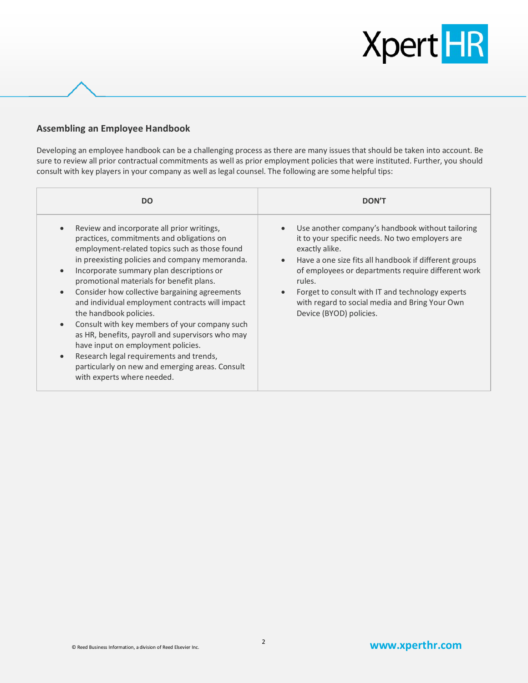#### **Assembling an Employee Handbook**

Developing an employee handbook can be a challenging process as there are many issues that should be taken into account. Be sure to review all prior contractual commitments as well as prior employment policies that were instituted. Further, you should consult with key players in your company as well as legal counsel. The following are some helpful tips:

| <b>DO</b>                                                                                                                                                                                                                                                                                                                                                                                                                                                                                                                                                                                                                                                                                                                      | <b>DON'T</b>                                                                                                                                                                                                                                                                                                                                                                                                           |
|--------------------------------------------------------------------------------------------------------------------------------------------------------------------------------------------------------------------------------------------------------------------------------------------------------------------------------------------------------------------------------------------------------------------------------------------------------------------------------------------------------------------------------------------------------------------------------------------------------------------------------------------------------------------------------------------------------------------------------|------------------------------------------------------------------------------------------------------------------------------------------------------------------------------------------------------------------------------------------------------------------------------------------------------------------------------------------------------------------------------------------------------------------------|
| Review and incorporate all prior writings,<br>practices, commitments and obligations on<br>employment-related topics such as those found<br>in preexisting policies and company memoranda.<br>Incorporate summary plan descriptions or<br>$\bullet$<br>promotional materials for benefit plans.<br>Consider how collective bargaining agreements<br>$\bullet$<br>and individual employment contracts will impact<br>the handbook policies.<br>Consult with key members of your company such<br>$\bullet$<br>as HR, benefits, payroll and supervisors who may<br>have input on employment policies.<br>Research legal requirements and trends,<br>particularly on new and emerging areas. Consult<br>with experts where needed. | Use another company's handbook without tailoring<br>$\bullet$<br>it to your specific needs. No two employers are<br>exactly alike.<br>Have a one size fits all handbook if different groups<br>$\bullet$<br>of employees or departments require different work<br>rules.<br>Forget to consult with IT and technology experts<br>$\bullet$<br>with regard to social media and Bring Your Own<br>Device (BYOD) policies. |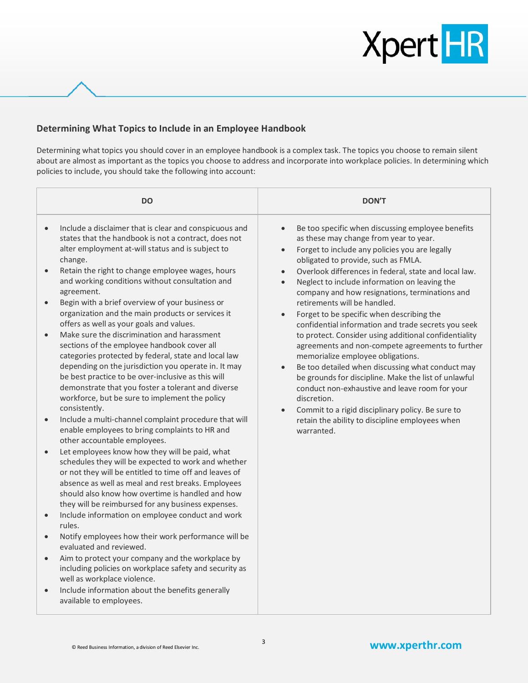

#### **Determining What Topics to Include in an Employee Handbook**

Determining what topics you should cover in an employee handbook is a complex task. The topics you choose to remain silent about are almost as important as the topics you choose to address and incorporate into workplace policies. In determining which policies to include, you should take the following into account:

|           | <b>DO</b>                                                                                                                                                                                                                                                                                                                                                                                 | <b>DON'T</b>                                                                                                                                                                                                                                                                                                                                                                                               |
|-----------|-------------------------------------------------------------------------------------------------------------------------------------------------------------------------------------------------------------------------------------------------------------------------------------------------------------------------------------------------------------------------------------------|------------------------------------------------------------------------------------------------------------------------------------------------------------------------------------------------------------------------------------------------------------------------------------------------------------------------------------------------------------------------------------------------------------|
| $\bullet$ | Include a disclaimer that is clear and conspicuous and<br>states that the handbook is not a contract, does not<br>alter employment at-will status and is subject to<br>change.                                                                                                                                                                                                            | Be too specific when discussing employee benefits<br>$\bullet$<br>as these may change from year to year.<br>Forget to include any policies you are legally<br>$\bullet$<br>obligated to provide, such as FMLA.                                                                                                                                                                                             |
| $\bullet$ | Retain the right to change employee wages, hours<br>and working conditions without consultation and<br>agreement.                                                                                                                                                                                                                                                                         | Overlook differences in federal, state and local law.<br>$\bullet$<br>Neglect to include information on leaving the<br>$\bullet$<br>company and how resignations, terminations and                                                                                                                                                                                                                         |
| $\bullet$ | Begin with a brief overview of your business or<br>organization and the main products or services it<br>offers as well as your goals and values.                                                                                                                                                                                                                                          | retirements will be handled.<br>Forget to be specific when describing the<br>$\bullet$<br>confidential information and trade secrets you seek                                                                                                                                                                                                                                                              |
| $\bullet$ | Make sure the discrimination and harassment<br>sections of the employee handbook cover all<br>categories protected by federal, state and local law<br>depending on the jurisdiction you operate in. It may<br>be best practice to be over-inclusive as this will<br>demonstrate that you foster a tolerant and diverse<br>workforce, but be sure to implement the policy<br>consistently. | to protect. Consider using additional confidentiality<br>agreements and non-compete agreements to further<br>memorialize employee obligations.<br>Be too detailed when discussing what conduct may<br>$\bullet$<br>be grounds for discipline. Make the list of unlawful<br>conduct non-exhaustive and leave room for your<br>discretion.<br>Commit to a rigid disciplinary policy. Be sure to<br>$\bullet$ |
| $\bullet$ | Include a multi-channel complaint procedure that will<br>enable employees to bring complaints to HR and<br>other accountable employees.                                                                                                                                                                                                                                                   | retain the ability to discipline employees when<br>warranted.                                                                                                                                                                                                                                                                                                                                              |
| $\bullet$ | Let employees know how they will be paid, what<br>schedules they will be expected to work and whether<br>or not they will be entitled to time off and leaves of<br>absence as well as meal and rest breaks. Employees<br>should also know how overtime is handled and how<br>they will be reimbursed for any business expenses.                                                           |                                                                                                                                                                                                                                                                                                                                                                                                            |
| $\bullet$ | Include information on employee conduct and work<br>rules.                                                                                                                                                                                                                                                                                                                                |                                                                                                                                                                                                                                                                                                                                                                                                            |
| $\bullet$ | Notify employees how their work performance will be<br>evaluated and reviewed.                                                                                                                                                                                                                                                                                                            |                                                                                                                                                                                                                                                                                                                                                                                                            |
| $\bullet$ | Aim to protect your company and the workplace by<br>including policies on workplace safety and security as<br>well as workplace violence.                                                                                                                                                                                                                                                 |                                                                                                                                                                                                                                                                                                                                                                                                            |
|           | Include information about the benefits generally<br>available to employees.                                                                                                                                                                                                                                                                                                               |                                                                                                                                                                                                                                                                                                                                                                                                            |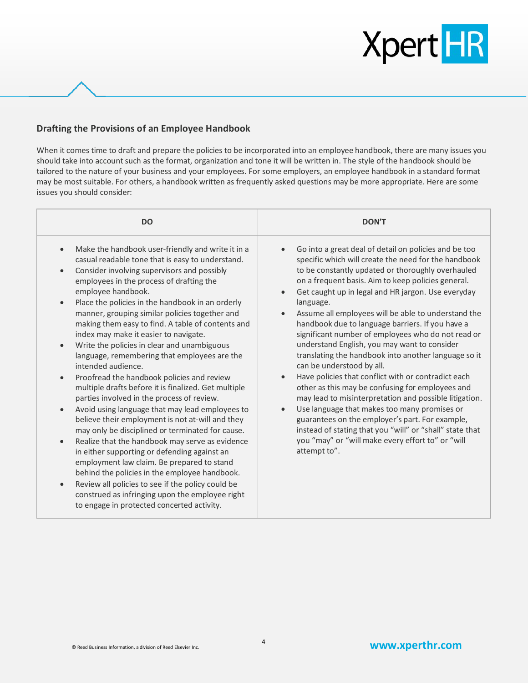#### **Drafting the Provisions of an Employee Handbook**

When it comes time to draft and prepare the policies to be incorporated into an employee handbook, there are many issues you should take into account such as the format, organization and tone it will be written in. The style of the handbook should be tailored to the nature of your business and your employees. For some employers, an employee handbook in a standard format may be most suitable. For others, a handbook written as frequently asked questions may be more appropriate. Here are some issues you should consider:

| <b>DO</b>                                                                                                                                                                                                                                                                                                                                                                                                                                                                                                                                                                                                                                                                                                                                                                                                                                                                                                                                                                                                                                                                                                                                                                                                                                                                                                                      | <b>DON'T</b>                                                                                                                                                                                                                                                                                                                                                                                                                                                                                                                                                                                                                                                                                                                                                                                                                                                                                                                                                                                                                                                                |
|--------------------------------------------------------------------------------------------------------------------------------------------------------------------------------------------------------------------------------------------------------------------------------------------------------------------------------------------------------------------------------------------------------------------------------------------------------------------------------------------------------------------------------------------------------------------------------------------------------------------------------------------------------------------------------------------------------------------------------------------------------------------------------------------------------------------------------------------------------------------------------------------------------------------------------------------------------------------------------------------------------------------------------------------------------------------------------------------------------------------------------------------------------------------------------------------------------------------------------------------------------------------------------------------------------------------------------|-----------------------------------------------------------------------------------------------------------------------------------------------------------------------------------------------------------------------------------------------------------------------------------------------------------------------------------------------------------------------------------------------------------------------------------------------------------------------------------------------------------------------------------------------------------------------------------------------------------------------------------------------------------------------------------------------------------------------------------------------------------------------------------------------------------------------------------------------------------------------------------------------------------------------------------------------------------------------------------------------------------------------------------------------------------------------------|
| Make the handbook user-friendly and write it in a<br>$\bullet$<br>casual readable tone that is easy to understand.<br>Consider involving supervisors and possibly<br>$\bullet$<br>employees in the process of drafting the<br>employee handbook.<br>Place the policies in the handbook in an orderly<br>$\bullet$<br>manner, grouping similar policies together and<br>making them easy to find. A table of contents and<br>index may make it easier to navigate.<br>Write the policies in clear and unambiguous<br>$\bullet$<br>language, remembering that employees are the<br>intended audience.<br>Proofread the handbook policies and review<br>$\bullet$<br>multiple drafts before it is finalized. Get multiple<br>parties involved in the process of review.<br>Avoid using language that may lead employees to<br>$\bullet$<br>believe their employment is not at-will and they<br>may only be disciplined or terminated for cause.<br>Realize that the handbook may serve as evidence<br>$\bullet$<br>in either supporting or defending against an<br>employment law claim. Be prepared to stand<br>behind the policies in the employee handbook.<br>Review all policies to see if the policy could be<br>$\bullet$<br>construed as infringing upon the employee right<br>to engage in protected concerted activity. | Go into a great deal of detail on policies and be too<br>$\bullet$<br>specific which will create the need for the handbook<br>to be constantly updated or thoroughly overhauled<br>on a frequent basis. Aim to keep policies general.<br>Get caught up in legal and HR jargon. Use everyday<br>$\bullet$<br>language.<br>Assume all employees will be able to understand the<br>$\bullet$<br>handbook due to language barriers. If you have a<br>significant number of employees who do not read or<br>understand English, you may want to consider<br>translating the handbook into another language so it<br>can be understood by all.<br>Have policies that conflict with or contradict each<br>$\bullet$<br>other as this may be confusing for employees and<br>may lead to misinterpretation and possible litigation.<br>Use language that makes too many promises or<br>$\bullet$<br>guarantees on the employer's part. For example,<br>instead of stating that you "will" or "shall" state that<br>you "may" or "will make every effort to" or "will<br>attempt to". |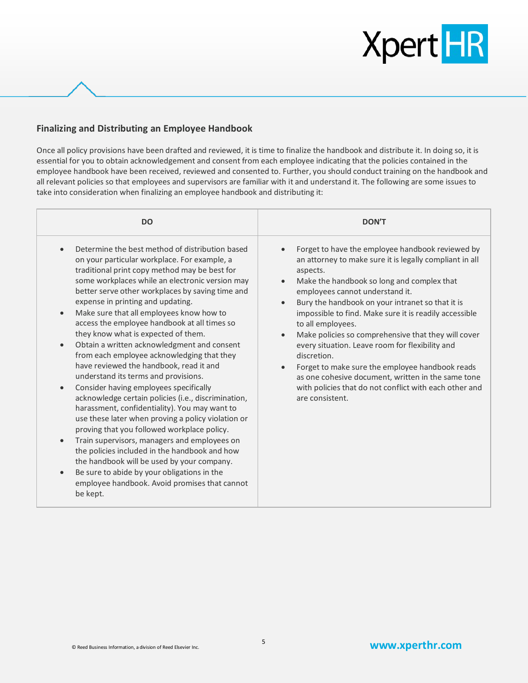#### **Finalizing and Distributing an Employee Handbook**

Once all policy provisions have been drafted and reviewed, it is time to finalize the handbook and distribute it. In doing so, it is essential for you to obtain acknowledgement and consent from each employee indicating that the policies contained in the employee handbook have been received, reviewed and consented to. Further, you should conduct training on the handbook and all relevant policies so that employees and supervisors are familiar with it and understand it. The following are some issues to take into consideration when finalizing an employee handbook and distributing it:

| Determine the best method of distribution based<br>Forget to have the employee handbook reviewed by<br>$\bullet$<br>an attorney to make sure it is legally compliant in all<br>on your particular workplace. For example, a<br>traditional print copy method may be best for<br>aspects.<br>some workplaces while an electronic version may<br>Make the handbook so long and complex that<br>$\bullet$<br>better serve other workplaces by saving time and<br>employees cannot understand it.<br>expense in printing and updating.<br>Bury the handbook on your intranet so that it is<br>$\bullet$<br>Make sure that all employees know how to<br>impossible to find. Make sure it is readily accessible<br>access the employee handbook at all times so<br>to all employees.<br>they know what is expected of them.<br>Make policies so comprehensive that they will cover<br>$\bullet$<br>Obtain a written acknowledgment and consent<br>every situation. Leave room for flexibility and<br>$\bullet$<br>from each employee acknowledging that they<br>discretion.<br>have reviewed the handbook, read it and<br>Forget to make sure the employee handbook reads<br>$\bullet$<br>understand its terms and provisions.<br>as one cohesive document, written in the same tone<br>Consider having employees specifically<br>with policies that do not conflict with each other and<br>acknowledge certain policies (i.e., discrimination,<br>are consistent.<br>harassment, confidentiality). You may want to<br>use these later when proving a policy violation or<br>proving that you followed workplace policy.<br>Train supervisors, managers and employees on<br>$\bullet$<br>the policies included in the handbook and how<br>the handbook will be used by your company.<br>Be sure to abide by your obligations in the | <b>DO</b>                                     | <b>DON'T</b> |
|-------------------------------------------------------------------------------------------------------------------------------------------------------------------------------------------------------------------------------------------------------------------------------------------------------------------------------------------------------------------------------------------------------------------------------------------------------------------------------------------------------------------------------------------------------------------------------------------------------------------------------------------------------------------------------------------------------------------------------------------------------------------------------------------------------------------------------------------------------------------------------------------------------------------------------------------------------------------------------------------------------------------------------------------------------------------------------------------------------------------------------------------------------------------------------------------------------------------------------------------------------------------------------------------------------------------------------------------------------------------------------------------------------------------------------------------------------------------------------------------------------------------------------------------------------------------------------------------------------------------------------------------------------------------------------------------------------------------------------------------------------------------------------------------------------------------------------|-----------------------------------------------|--------------|
| be kept.                                                                                                                                                                                                                                                                                                                                                                                                                                                                                                                                                                                                                                                                                                                                                                                                                                                                                                                                                                                                                                                                                                                                                                                                                                                                                                                                                                                                                                                                                                                                                                                                                                                                                                                                                                                                                      | employee handbook. Avoid promises that cannot |              |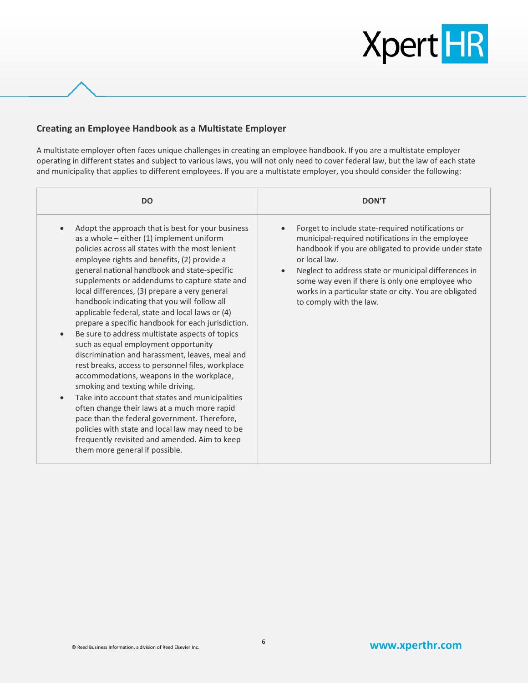#### **Creating an Employee Handbook as a Multistate Employer**

A multistate employer often faces unique challenges in creating an employee handbook. If you are a multistate employer operating in different states and subject to various laws, you will not only need to cover federal law, but the law of each state and municipality that applies to different employees. If you are a multistate employer, you should consider the following:

| <b>DO</b>                                                                                                                                                                                                                                                                                                                                                                                                                                                                                                                                                                                                                                                                                                                                                                                                                                                                                                                                                                                                                                                                                                                              | <b>DON'T</b>                                                                                                                                                                                                                                                                                                                                                                                             |
|----------------------------------------------------------------------------------------------------------------------------------------------------------------------------------------------------------------------------------------------------------------------------------------------------------------------------------------------------------------------------------------------------------------------------------------------------------------------------------------------------------------------------------------------------------------------------------------------------------------------------------------------------------------------------------------------------------------------------------------------------------------------------------------------------------------------------------------------------------------------------------------------------------------------------------------------------------------------------------------------------------------------------------------------------------------------------------------------------------------------------------------|----------------------------------------------------------------------------------------------------------------------------------------------------------------------------------------------------------------------------------------------------------------------------------------------------------------------------------------------------------------------------------------------------------|
| Adopt the approach that is best for your business<br>$\bullet$<br>as a whole $-$ either (1) implement uniform<br>policies across all states with the most lenient<br>employee rights and benefits, (2) provide a<br>general national handbook and state-specific<br>supplements or addendums to capture state and<br>local differences, (3) prepare a very general<br>handbook indicating that you will follow all<br>applicable federal, state and local laws or (4)<br>prepare a specific handbook for each jurisdiction.<br>Be sure to address multistate aspects of topics<br>$\bullet$<br>such as equal employment opportunity<br>discrimination and harassment, leaves, meal and<br>rest breaks, access to personnel files, workplace<br>accommodations, weapons in the workplace,<br>smoking and texting while driving.<br>Take into account that states and municipalities<br>$\bullet$<br>often change their laws at a much more rapid<br>pace than the federal government. Therefore,<br>policies with state and local law may need to be<br>frequently revisited and amended. Aim to keep<br>them more general if possible. | Forget to include state-required notifications or<br>$\bullet$<br>municipal-required notifications in the employee<br>handbook if you are obligated to provide under state<br>or local law.<br>Neglect to address state or municipal differences in<br>$\bullet$<br>some way even if there is only one employee who<br>works in a particular state or city. You are obligated<br>to comply with the law. |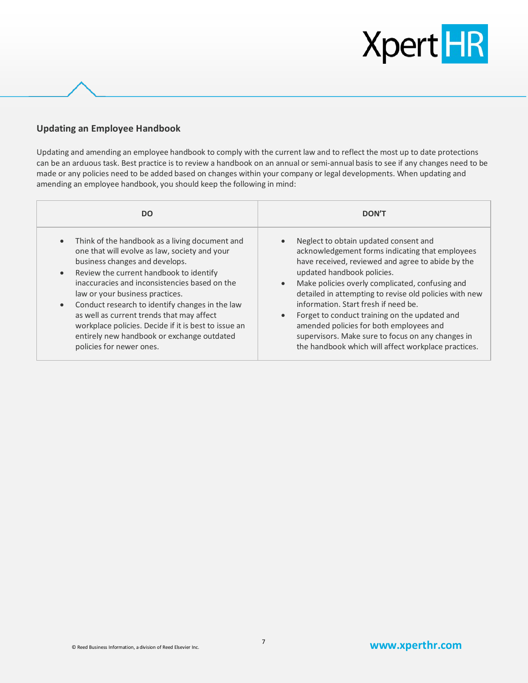#### **Updating an Employee Handbook**

Updating and amending an employee handbook to comply with the current law and to reflect the most up to date protections can be an arduous task. Best practice is to review a handbook on an annual or semi-annual basis to see if any changes need to be made or any policies need to be added based on changes within your company or legal developments. When updating and amending an employee handbook, you should keep the following in mind:

| <b>DO</b>                                                                                                                                                                                                                                                                                                                                                                                                                                                                                                       | <b>DON'T</b>                                                                                                                                                                                                                                                                                                                                                                                                                                                                                                                                                                    |
|-----------------------------------------------------------------------------------------------------------------------------------------------------------------------------------------------------------------------------------------------------------------------------------------------------------------------------------------------------------------------------------------------------------------------------------------------------------------------------------------------------------------|---------------------------------------------------------------------------------------------------------------------------------------------------------------------------------------------------------------------------------------------------------------------------------------------------------------------------------------------------------------------------------------------------------------------------------------------------------------------------------------------------------------------------------------------------------------------------------|
| Think of the handbook as a living document and<br>one that will evolve as law, society and your<br>business changes and develops.<br>Review the current handbook to identify<br>$\bullet$<br>inaccuracies and inconsistencies based on the<br>law or your business practices.<br>Conduct research to identify changes in the law<br>as well as current trends that may affect<br>workplace policies. Decide if it is best to issue an<br>entirely new handbook or exchange outdated<br>policies for newer ones. | Neglect to obtain updated consent and<br>$\bullet$<br>acknowledgement forms indicating that employees<br>have received, reviewed and agree to abide by the<br>updated handbook policies.<br>Make policies overly complicated, confusing and<br>$\bullet$<br>detailed in attempting to revise old policies with new<br>information. Start fresh if need be.<br>Forget to conduct training on the updated and<br>$\bullet$<br>amended policies for both employees and<br>supervisors. Make sure to focus on any changes in<br>the handbook which will affect workplace practices. |